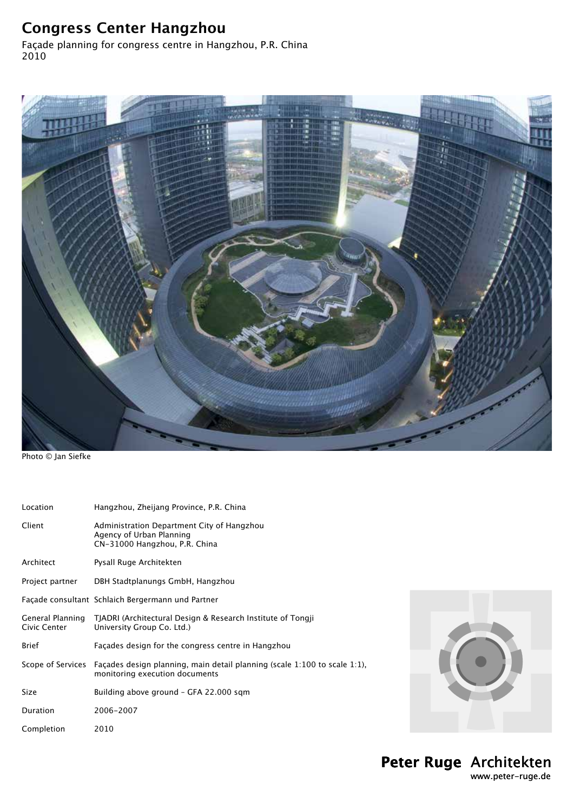## **Congress Center Hangzhou**

Façade planning for congress centre in Hangzhou, P.R. China 2010



Photo © Jan Siefke

| Location                         | Hangzhou, Zheijang Province, P.R. China                                                                          |  |
|----------------------------------|------------------------------------------------------------------------------------------------------------------|--|
| Client                           | Administration Department City of Hangzhou<br>Agency of Urban Planning<br>CN-31000 Hangzhou, P.R. China          |  |
| Architect                        | Pysall Ruge Architekten                                                                                          |  |
| Project partner                  | DBH Stadtplanungs GmbH, Hangzhou                                                                                 |  |
|                                  | Façade consultant Schlaich Bergermann und Partner                                                                |  |
| General Planning<br>Civic Center | TJADRI (Architectural Design & Research Institute of Tongji<br>University Group Co. Ltd.)                        |  |
| <b>Brief</b>                     | Façades design for the congress centre in Hangzhou                                                               |  |
| Scope of Services                | Façades design planning, main detail planning (scale $1:100$ to scale $1:1$ ),<br>monitoring execution documents |  |
| <b>Size</b>                      | Building above ground - GFA 22.000 sqm                                                                           |  |
| Duration                         | 2006-2007                                                                                                        |  |
| Completion                       | 2010                                                                                                             |  |

**Peter Ruge** Architekten www.peter-ruge.de